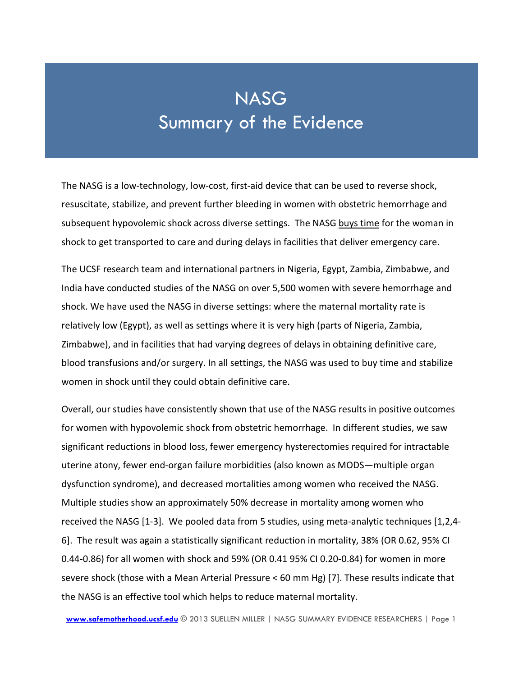## **NASG** Summary of the Evidence

The NASG is a low-technology, low-cost, first-aid device that can be used to reverse shock, resuscitate, stabilize, and prevent further bleeding in women with obstetric hemorrhage and subsequent hypovolemic shock across diverse settings. The NASG buys time for the woman in shock to get transported to care and during delays in facilities that deliver emergency care.

The UCSF research team and international partners in Nigeria, Egypt, Zambia, Zimbabwe, and India have conducted studies of the NASG on over 5,500 women with severe hemorrhage and shock. We have used the NASG in diverse settings: where the maternal mortality rate is relatively low (Egypt), as well as settings where it is very high (parts of Nigeria, Zambia, Zimbabwe), and in facilities that had varying degrees of delays in obtaining definitive care, blood transfusions and/or surgery. In all settings, the NASG was used to buy time and stabilize women in shock until they could obtain definitive care.

Overall, our studies have consistently shown that use of the NASG results in positive outcomes for women with hypovolemic shock from obstetric hemorrhage. In different studies, we saw significant reductions in blood loss, fewer emergency hysterectomies required for intractable uterine atony, fewer end-organ failure morbidities (also known as MODS—multiple organ dysfunction syndrome), and decreased mortalities among women who received the NASG. Multiple studies show an approximately 50% decrease in mortality among women who received the NASG [\[1-3\]](#page-2-0). We pooled data from 5 studies, using meta-analytic techniques [\[1](#page-2-0)[,2](#page-2-1)[,4-](#page-2-2) [6\]](#page-2-2). The result was again a statistically significant reduction in mortality, 38% (OR 0.62, 95% CI 0.44-0.86) for all women with shock and 59% (OR 0.41 95% CI 0.20-0.84) for women in more severe shock (those with a Mean Arterial Pressure < 60 mm Hg) [\[7\]](#page-2-3). These results indicate that the NASG is an effective tool which helps to reduce maternal mortality.

**[www.safemotherhood.ucsf.edu](http://www.safemotherhood.ucsf.edu/)** © 2013 SUELLEN MILLER | NASG SUMMARY EVIDENCE RESEARCHERS | Page 1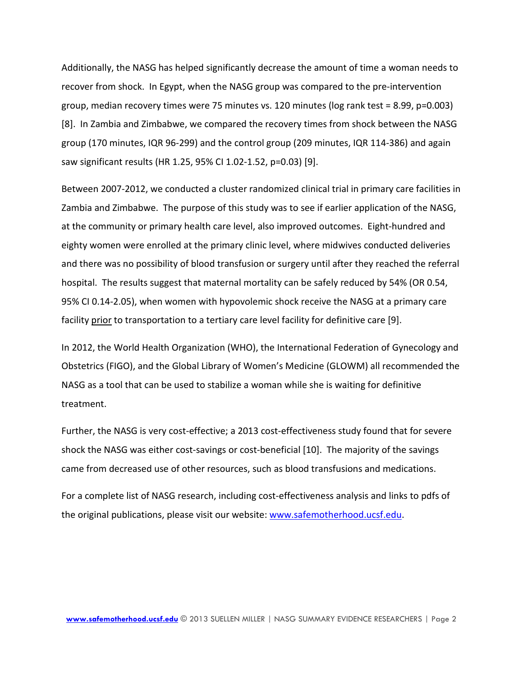Additionally, the NASG has helped significantly decrease the amount of time a woman needs to recover from shock. In Egypt, when the NASG group was compared to the pre-intervention group, median recovery times were 75 minutes vs. 120 minutes ( $log$  rank test = 8.99, p=0.003) [\[8\]](#page-2-4). In Zambia and Zimbabwe, we compared the recovery times from shock between the NASG group (170 minutes, IQR 96-299) and the control group (209 minutes, IQR 114-386) and again saw significant results (HR 1.25, 95% CI 1.02-1.52, p=0.03) [\[9\]](#page-2-5).

Between 2007-2012, we conducted a cluster randomized clinical trial in primary care facilities in Zambia and Zimbabwe. The purpose of this study was to see if earlier application of the NASG, at the community or primary health care level, also improved outcomes. Eight-hundred and eighty women were enrolled at the primary clinic level, where midwives conducted deliveries and there was no possibility of blood transfusion or surgery until after they reached the referral hospital. The results suggest that maternal mortality can be safely reduced by 54% (OR 0.54, 95% CI 0.14-2.05), when women with hypovolemic shock receive the NASG at a primary care facility prior to transportation to a tertiary care level facility for definitive care [\[9\]](#page-2-5).

In 2012, the World Health Organization (WHO), the International Federation of Gynecology and Obstetrics (FIGO), and the Global Library of Women's Medicine (GLOWM) all recommended the NASG as a tool that can be used to stabilize a woman while she is waiting for definitive treatment.

Further, the NASG is very cost-effective; a 2013 cost-effectiveness study found that for severe shock the NASG was either cost-savings or cost-beneficial [\[10\]](#page-2-6). The majority of the savings came from decreased use of other resources, such as blood transfusions and medications.

For a complete list of NASG research, including cost-effectiveness analysis and links to pdfs of the original publications, please visit our website: [ww](http://www.lifewraps.org/)w.safemotherhood.ucsf.edu.